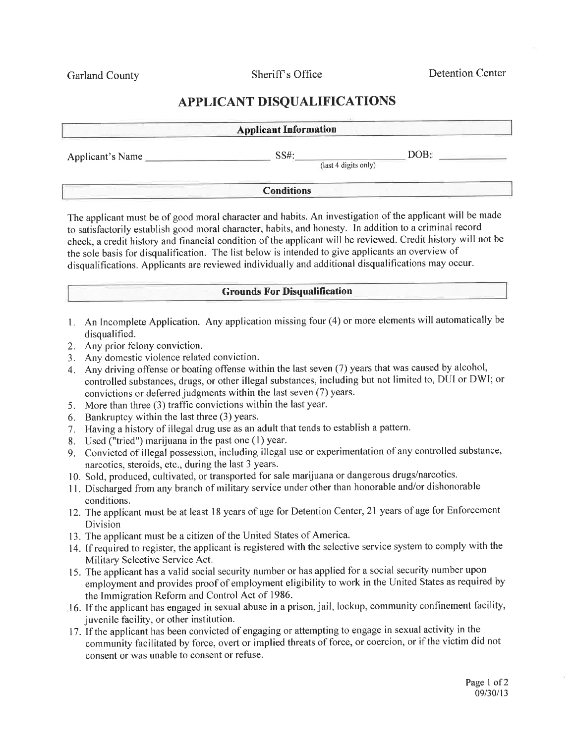Garland County Sheriff's Office

Detention Center

## APPLICANT DISQUALIFICATIONS

| <b>Applicant Information</b> |                              |      |  |  |
|------------------------------|------------------------------|------|--|--|
| Applicant's Name             | SS#:<br>(last 4 digits only) | DOB: |  |  |
|                              | <b>Conditions</b>            |      |  |  |

The applicant must be of good moral character and habits. An investigation of the applicant will be made to satisfactorily establish good moral character, habits, and honesty. In addition to a criminal record check, a credit history and financial condition of the applicant will be reviewed. Credit history will not be the sole basis for disqualification. The list below is intended to give applicants an overview of disqualifications. Applicants are reviewed individually and additional disqualifications may occur.

## Grounds For Disqualification

- 1. An Incomplete Application. Any application missing four (4) or more elements will automatically be disqualified.
- 2. Any prior felony conviction.
- 3. Any domestic violence related conviction.
- 4. Any driving offense or boating offense within the last seven (7) years that was caused by alcohol, controlled substances, drugs, or other illegal substances, including but not limited to, DUI or DWI; or convictions or deferred judgments within the last seven (7) years.
- 5. More than three (3) traffic convictions within the last year.
- 6. Bankruptcy within the last three (3) years.
- <sup>7</sup>. Having a history of illegal drug use as an adult that tends to establish a pattern.
- 8. Used ("tried") marijuana in the past one (1) year.
- g. Convicted of illegal possession, including illegal use or experimentation of any controlled substance, narcotics, steroids, etc., during the last 3 years.
- 10. Sold, produced, cultivated, or transported for sale marijuana or dangerous drugs/narcotics.
- 11. Discharged from any branch of military service under other than honorable and/or dishonorable conditions.
- 12. The applicant must be at least l8 years of age for Detention Center,21 years of age for Enforcement Division
- 13. The applicant must be acitizen of the United States of America.
- 14. If required to register, the applicant is registered with the selective service system to comply with the Military Selective Service Act.
- 15. The applicant has a valid social security number or has applied for a social security number upon employment and provides proof of employment eligibility to work in the United States as required by the Immigration Reform and Control Act of 1986.
- 16. If the applicant has engaged in sexual abuse in a prison, jail, lockup, community confinement facility, juvenile facility, or other institution.
- 17. If the applicant has been convicted of engaging or attempting to engage in sexual activity in the community facilitated by force, overt or implied threats of force, or coercion, or if the victim did not consent or was unable to consent or refuse.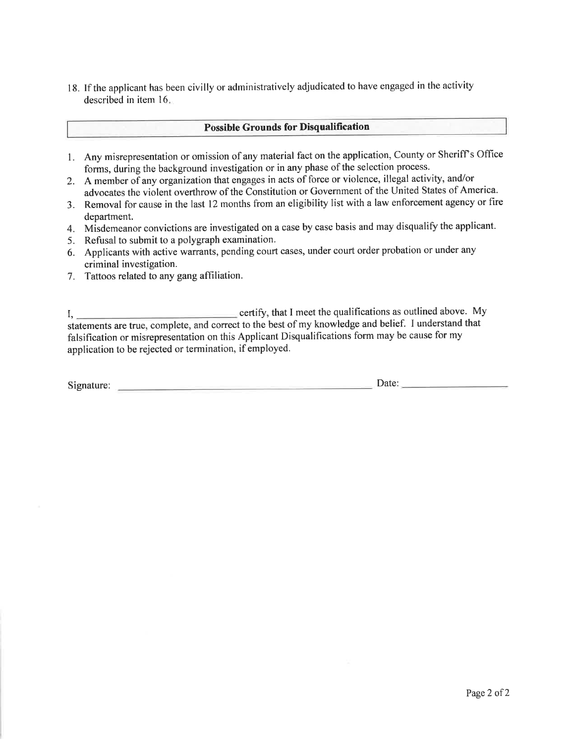18. If the applicant has been civilly or administratively adjudicated to have engaged in the activity described in item 16

## Possible Grounds for Disqualification

- 1. Any misrepresentation or omission of any material fact on the application, County or Sheriff's Office forms, during the background investigation or in any phase of the selection process.
- 2. A member of any organization that engages in acts of force or violence, illegal activity, and/or advocates the violent overthrow of the Constitution or Government of the United States of America.
- 3. Removal for cause in the last 12 months from an eligibility list with a law enforcement agency or fire department.
- 4. Misdemeanor convictions are investigated on a case by case basis and may disqualify the applicant.
- 5. Refusal to submit to a polygraph examination.
- 6. Applicants with active warrants, pending court cases, under court order probation or under any criminal investigation.
- 7. Tattoos related to any gang affiliation.

|,certiflz'thatImeetthequalificationsasoutlinedabove.My statements are true, complete, and correct to the best of my knowledge and belief. I understand that falsification or misrepresentation on this Applicant Disqualifications form may be cause for my application to be rejected or termination, if employed.

Signature: Date: Date: Date: Date: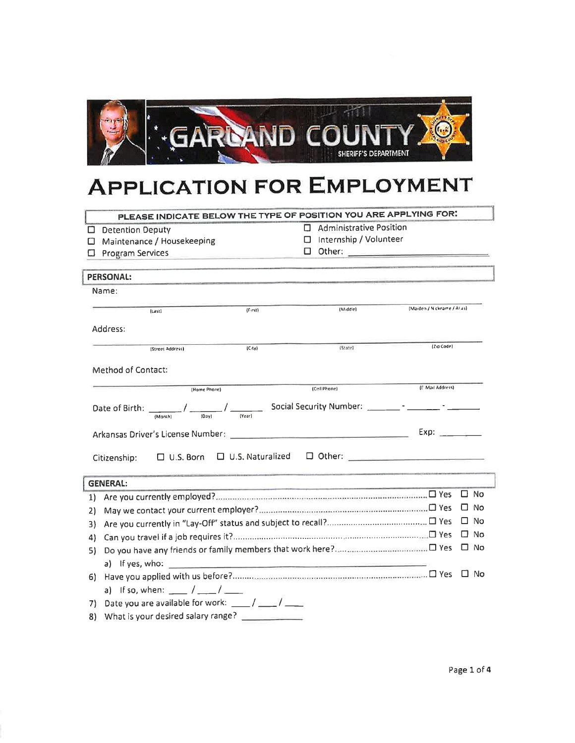

## **APPLICATION FOR EMPLOYMENT**

|    | PLEASE INDICATE BELOW THE TYPE OF POSITION YOU ARE APPLYING FOR:                                              |                                                             |   |                                                                                                                                                                                                                                                   |                                                                                                                                                                                                                                |           |      |
|----|---------------------------------------------------------------------------------------------------------------|-------------------------------------------------------------|---|---------------------------------------------------------------------------------------------------------------------------------------------------------------------------------------------------------------------------------------------------|--------------------------------------------------------------------------------------------------------------------------------------------------------------------------------------------------------------------------------|-----------|------|
| ◻  | <b>Detention Deputy</b>                                                                                       | п                                                           |   | <b>Administrative Position</b>                                                                                                                                                                                                                    |                                                                                                                                                                                                                                |           |      |
| □  | Maintenance / Housekeeping                                                                                    |                                                             |   | □ Internship / Volunteer                                                                                                                                                                                                                          |                                                                                                                                                                                                                                |           |      |
| □  | <b>Program Services</b><br>and the control of the control of the control of the control of the control of     |                                                             | □ |                                                                                                                                                                                                                                                   |                                                                                                                                                                                                                                |           |      |
|    |                                                                                                               |                                                             |   |                                                                                                                                                                                                                                                   |                                                                                                                                                                                                                                |           |      |
|    | <b>PERSONAL:</b>                                                                                              |                                                             |   |                                                                                                                                                                                                                                                   |                                                                                                                                                                                                                                |           |      |
|    | Name:                                                                                                         |                                                             |   |                                                                                                                                                                                                                                                   |                                                                                                                                                                                                                                |           |      |
|    | (Last)                                                                                                        | (First)                                                     |   | (Middle)                                                                                                                                                                                                                                          | (Maiden / Nickname / Allas)                                                                                                                                                                                                    |           |      |
|    | Address:                                                                                                      |                                                             |   |                                                                                                                                                                                                                                                   |                                                                                                                                                                                                                                |           |      |
|    | (Street Address)                                                                                              | $(C_i(y))$                                                  |   | (State)                                                                                                                                                                                                                                           | $(Z1Q0de)$                                                                                                                                                                                                                     |           |      |
|    | <b>Method of Contact:</b>                                                                                     |                                                             |   |                                                                                                                                                                                                                                                   |                                                                                                                                                                                                                                |           |      |
|    | (Home Phone)                                                                                                  |                                                             |   | (Cell Phone)                                                                                                                                                                                                                                      | (F. Mail Address)                                                                                                                                                                                                              |           |      |
|    |                                                                                                               |                                                             |   |                                                                                                                                                                                                                                                   |                                                                                                                                                                                                                                |           |      |
|    |                                                                                                               |                                                             |   |                                                                                                                                                                                                                                                   | Exp: the contract of the contract of the contract of the contract of the contract of the contract of the contract of the contract of the contract of the contract of the contract of the contract of the contract of the contr |           |      |
|    | $\Box$ U.S. Born $\Box$ U.S. Naturalized<br>Citizenship:                                                      |                                                             |   | $\begin{tabular}{ c c c c } \hline \quad \quad & \quad \quad & \quad \quad & \quad \quad \\ \hline \quad \quad & \quad \quad & \quad \quad & \quad \quad \\ \hline \quad \quad & \quad \quad & \quad \quad & \quad \quad \\ \hline \end{tabular}$ |                                                                                                                                                                                                                                |           |      |
|    | <b>GENERAL:</b>                                                                                               |                                                             |   | <u> 1989 - Andrea Brasil, amerikansk politik (</u>                                                                                                                                                                                                |                                                                                                                                                                                                                                |           |      |
| 1) |                                                                                                               |                                                             |   |                                                                                                                                                                                                                                                   |                                                                                                                                                                                                                                | □ No      |      |
| 2) |                                                                                                               |                                                             |   |                                                                                                                                                                                                                                                   |                                                                                                                                                                                                                                | □         | - No |
| 3) |                                                                                                               |                                                             |   |                                                                                                                                                                                                                                                   |                                                                                                                                                                                                                                | □ No      |      |
| 4) |                                                                                                               |                                                             |   |                                                                                                                                                                                                                                                   |                                                                                                                                                                                                                                | □ No      |      |
| 51 |                                                                                                               |                                                             |   |                                                                                                                                                                                                                                                   |                                                                                                                                                                                                                                | $\Box$ No |      |
|    | a) If yes, who: $\frac{1}{\sqrt{1-\frac{1}{2}}\sqrt{1-\frac{1}{2}}\sqrt{1-\frac{1}{2}}\sqrt{1-\frac{1}{2}}}}$ |                                                             |   | <u> 1989 - Johann Barn, mars ann an t-Amhair an t-Amhair an t-Amhair an t-Amhair an t-Amhair an t-Amhair an t-Amh</u>                                                                                                                             |                                                                                                                                                                                                                                |           |      |
| 61 |                                                                                                               |                                                             |   |                                                                                                                                                                                                                                                   |                                                                                                                                                                                                                                | ∣ No      |      |
|    | a) If so, when: $\frac{1}{2}$ / $\frac{1}{2}$                                                                 |                                                             |   |                                                                                                                                                                                                                                                   |                                                                                                                                                                                                                                |           |      |
| 71 | Date you are available for work: ____/ ____/                                                                  |                                                             |   |                                                                                                                                                                                                                                                   |                                                                                                                                                                                                                                |           |      |
|    | 8) What is your desired salary range?                                                                         | the control of the control of the control of the control of |   |                                                                                                                                                                                                                                                   |                                                                                                                                                                                                                                |           |      |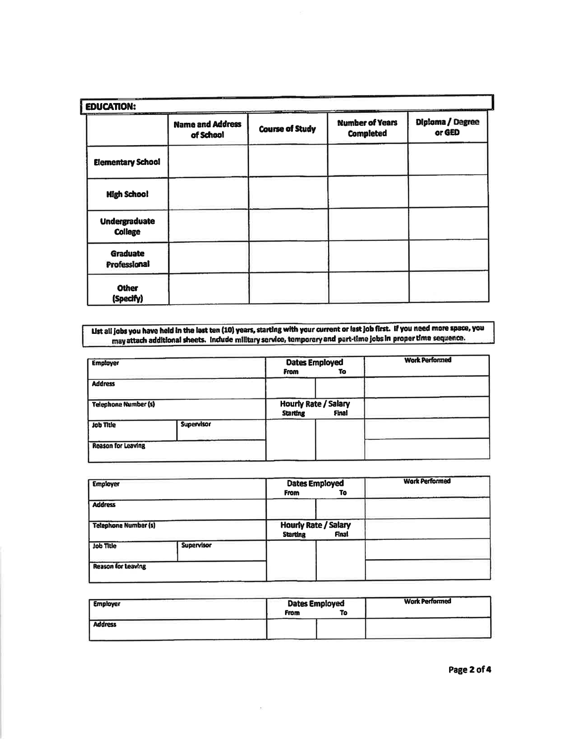| <b>EDUCATION:</b>                      |                                      |                        |                                            |                            |  |  |  |
|----------------------------------------|--------------------------------------|------------------------|--------------------------------------------|----------------------------|--|--|--|
|                                        | <b>Name and Address</b><br>of School | <b>Course of Study</b> | <b>Number of Years</b><br><b>Completed</b> | Diploma / Degree<br>or GED |  |  |  |
| <b>Elementary School</b>               |                                      |                        |                                            |                            |  |  |  |
| <b>High School</b>                     |                                      |                        |                                            |                            |  |  |  |
| <b>Undergraduate</b><br><b>College</b> |                                      |                        |                                            |                            |  |  |  |
| <b>Graduate</b><br>Professional        |                                      |                        |                                            |                            |  |  |  |
| <b>Other</b><br>(Specify)              |                                      |                        |                                            |                            |  |  |  |

List all jobs you have held in the last ten (10) years, starting with your current or last job first. If you need more space, you<br>may attach additional sheets. Include military service, temporary and part-time jobs in prop

| <b>Employer</b>             |                   | <b>Dates Employed</b><br>From<br>To                     | <b>Work Performed</b> |
|-----------------------------|-------------------|---------------------------------------------------------|-----------------------|
| <b>Address</b>              |                   |                                                         |                       |
| <b>Telephone Number (s)</b> |                   | <b>Hourly Rate / Salary</b><br><b>Starting</b><br>Final |                       |
| <b>Job Title</b>            | <b>Supervisor</b> |                                                         |                       |
| <b>Reason for Leaving</b>   |                   |                                                         |                       |

| <b>Employer</b>             |                   | <b>Dates Employed</b><br><b>From</b><br>To              | <b>Work Performed</b> |
|-----------------------------|-------------------|---------------------------------------------------------|-----------------------|
| <b>Address</b>              |                   |                                                         |                       |
| <b>Telephone Number (s)</b> |                   | <b>Hourly Rate / Salary</b><br><b>Starting</b><br>Final |                       |
| <b>Job Title</b>            | <b>Supervisor</b> |                                                         |                       |
| <b>Reason for Leaving</b>   |                   |                                                         |                       |

| <b>Employer</b> | <b>Dates Employed</b><br><b>From</b><br>To | <b>Work Performed</b> |
|-----------------|--------------------------------------------|-----------------------|
| <b>Address</b>  |                                            |                       |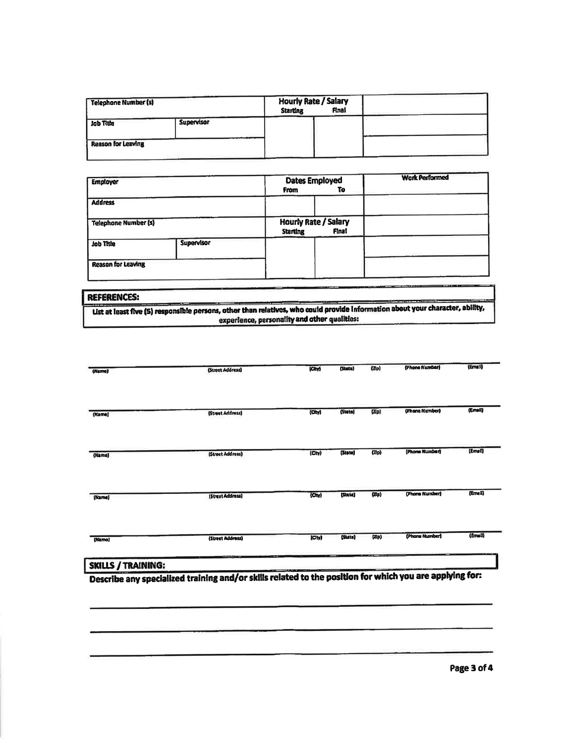| <b>Telephone Number (s)</b> |                   | <b>Hourly Rate / Salary</b><br>Final<br><b>Starting</b> |  |
|-----------------------------|-------------------|---------------------------------------------------------|--|
| Job Title                   | <b>Supervisor</b> |                                                         |  |
| <b>Reason for Leaving</b>   |                   |                                                         |  |

|            | <b>Dates Employed</b><br>To<br><b>From</b>                     | <b>Work Performed</b> |
|------------|----------------------------------------------------------------|-----------------------|
|            |                                                                |                       |
|            | <b>Hourly Rate / Salary</b><br><b>Final</b><br><b>Starting</b> |                       |
| Supervisor |                                                                |                       |
|            |                                                                |                       |
|            | <b>Telephone Number (s)</b>                                    |                       |

| <b>REFERENCES:</b> |                                                                                                                                |
|--------------------|--------------------------------------------------------------------------------------------------------------------------------|
|                    | List at least five (5) responsible persons, other than relatives, who could provide information about your character, ability, |
|                    | experience, personality and other qualities:                                                                                   |

| (Name) | (Street Address) | (City)                | (State) | (Dp)                           | (Phone Number) | (Email) |
|--------|------------------|-----------------------|---------|--------------------------------|----------------|---------|
|        |                  |                       |         |                                | (Phone Number) | (Email) |
| (Name) | [Street Address] | (CM)                  | (State) | (Dip)                          |                |         |
| (Nama) | (Street Address) | (Tv)                  | (State) | (2/p)                          | (Phone Number) | (Email) |
| (Kame) | (Street Address) | $\langle Cny \rangle$ | [State] | $\langle \overline{a} \rangle$ | (Phone Number) | (Email) |
| (Namo) | (Street Address) | Cty                   | (State) | $\left(\frac{1}{2}\right)$     | (Phona Number) | (Email) |

Describe any specialized training and/or skills related to the position for which you are applying for: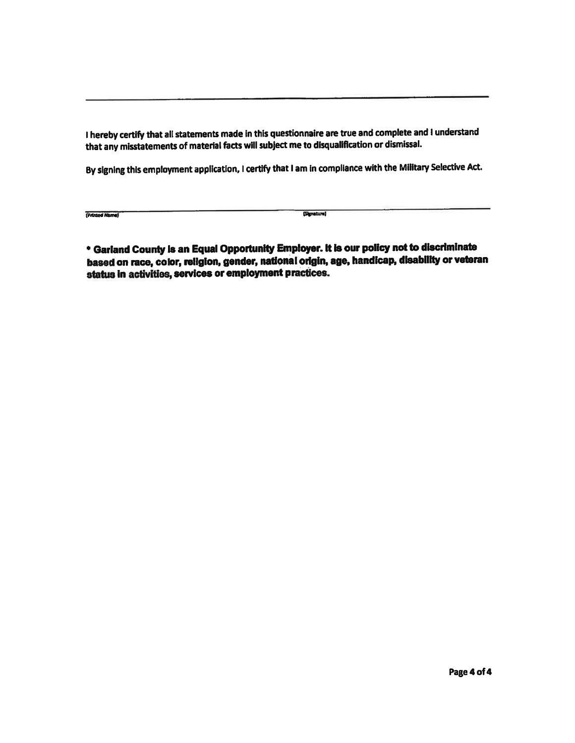I hereby certify that all statements made in this questionnaire are true and complete and I understand that any misstatements of material facts will subject me to disqualification or dismissal.

By signing this employment application, I certify that I am in compliance with the Military Selective Act.

| (Printed Name) |  |
|----------------|--|

(Signature)

\* Garland County is an Equal Opportunity Employer. It is our policy not to discriminate based on race, color, religion, gender, national origin, age, handicap, disability or veteran status in activities, services or employment practices.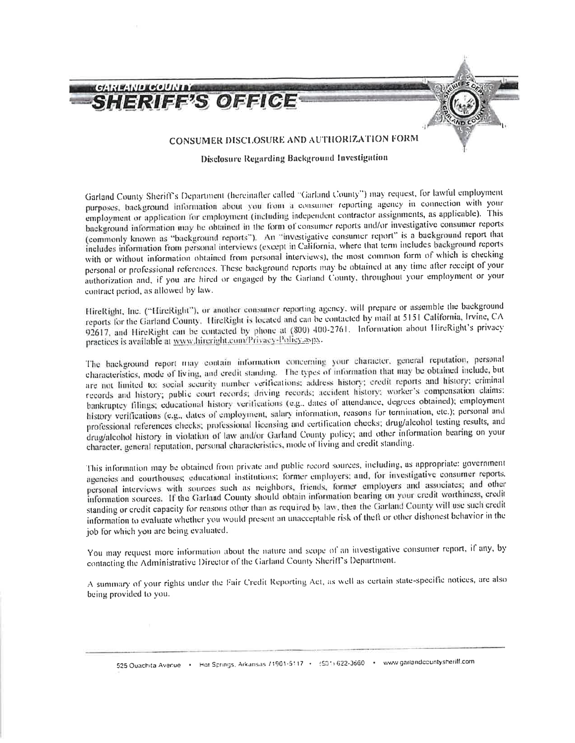

**Disclosure Regarding Background Investigation** 

Garland County Sheriff's Department (hereinafter called "Garland County") may request, for lawful employment purposes, background information about you from a consumer reporting agency in connection with your employment or application for employment (including independent contractor assignments, as applicable). This background information may be obtained in the form of consumer reports and/or investigative consumer reports (commonly known as "background reports"). An "investigative consumer report" is a background report that includes information from personal interviews (except in California, where that term includes background reports with or without information obtained from personal interviews), the most common form of which is checking personal or professional references. These background reports may be obtained at any time after receipt of your authorization and, if you are hired or engaged by the Garland County, throughout your employment or your contract period, as allowed by law.

HireRight, Inc. ("HireRight"), or another consumer reporting agency, will prepare or assemble the background reports for the Garland County. HireRight is located and can be contacted by mail at 5151 California, Irvine, CA 92617, and HireRight can be contacted by phone at (800) 400-2761. Information about HireRight's privacy practices is available at www.hircright.com/Privacy-Policy.aspx.

The background report may contain information concerning your character, general reputation, personal characteristics, mode of living, and credit standing. The types of information that may be obtained include, but are not limited to: social security number verifications; address history; credit reports and history; criminal records and history; public court records; driving records; accident history; worker's compensation claims; bankruptcy filings; educational history verifications (e.g., dates of attendance, degrees obtained); employment history verifications (e.g., dates of employment, salary information, reasons for termination, etc.); personal and professional references checks; professional licensing and certification checks; drug/alcohol testing results, and drug/alcohol history in violation of law and/or Garland County policy; and other information bearing on your character, general reputation, personal characteristics, mode of living and credit standing.

This information may be obtained from private and public record sources, including, as appropriate: government agencies and courthouses; educational institutions; former employers; and, for investigative consumer reports, personal interviews with sources such as neighbors, friends, former employers and associates; and other information sources. If the Garland County should obtain information bearing on your credit worthiness, credit standing or credit capacity for reasons other than as required by law, then the Garland County will use such credit information to evaluate whether you would present an unacceptable risk of theft or other dishonest behavior in the job for which you are being evaluated.

You may request more information about the nature and scope of an investigative consumer report, if any, by contacting the Administrative Director of the Garland County Sheriff's Department.

A summary of your rights under the Fair Credit Reporting Act, as well as certain state-specific notices, are also being provided to you.